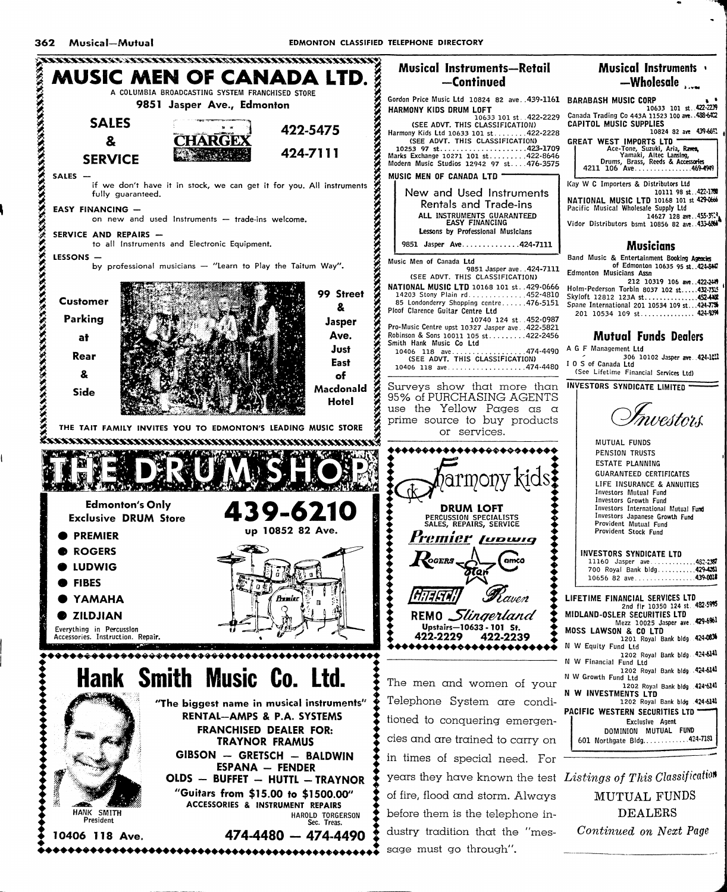

sage must go through".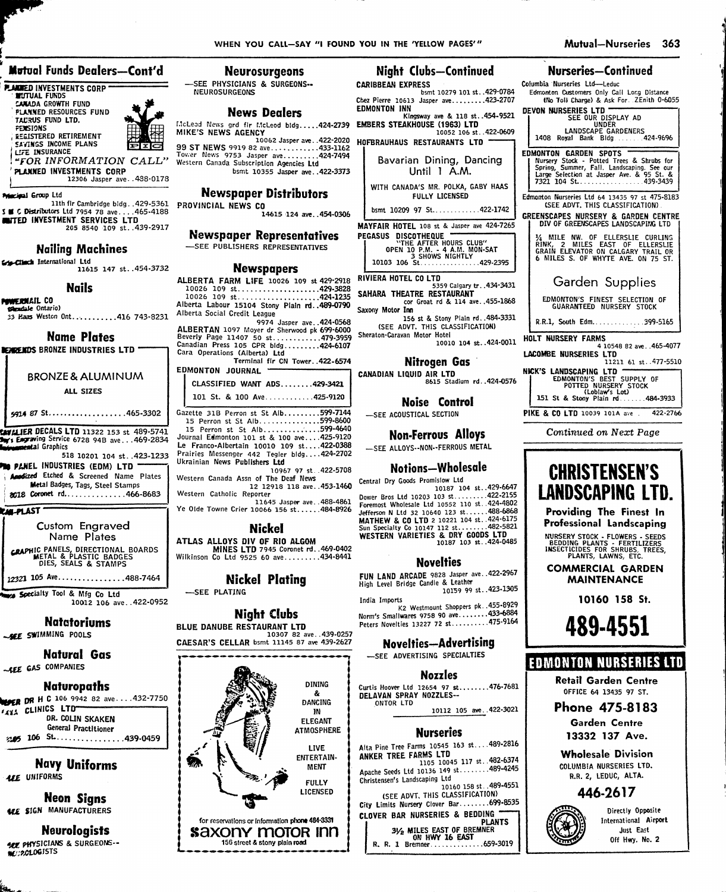#### Mutual Funds Dealers-Cont'd

**PLACED INVESTMENTS CORP** CANADA GROWTH FUND<br>FLANNED RESOURCES FUND<br>TADRUS FUND LTD.

**FEXSIONS EGISTERED RETIREMENT**<br>SAYINGS INCOME PLANS LIFE INSURANCE

"FOR INFORMATION CALL" PLANNED INVESTMENTS CORP

12306 Jasper ave..488-0178

**Principal Group Ltd** 

WHELE ETOP Ltd.<br>S C Distributors Ltd 7954 78 ave....465-4188<br>C Distributors Ltd 7954 78 ave....465-4188<br>C DISTERENT SERVICES LTD<br>205 8540 109 st..439-2917

#### **Nailing Machines**

Section International Ltd 11615 147 st..454-3732

#### **Nails**

**Powernail Co** dale Ontario)

33 Haas Weston Ont...........416 743-8231

#### **Name Plates**

**BENGEROS BRONZE INDUSTRIES LTD** 

## **BRONZE & ALUMINUM** ALL SIZES

5914 87 St...................465-3302

ENVALIER DECALS LTD 11322 153 st 489-5741 Forwing Service 6728 94B ave...469-2834 superial Graphics

518 10201 104 st..423-1233 **PM PANEL INDUSTRIES (EDM) LTD "** Andized Etched & Screened Name Plates **Metal Badges, Tags, Steel Stamps** 2018 Coronet rd..............466-8683

**KALPLAST** 

Custom Engraved Name Plates CRAPHIC PANELS, DIRECTIONAL BOARDS<br>METAL & PLASTIC BADGES<br>DIES, SEALS & STAMPS

12321 105 Ave...............488-7464

Specialty Tool & Mfg Co Ltd 10012 106 ave. . 422-0952

#### Natatoriums

SEE SWIMMING POOLS

Natural Gas -- LEE GAS COMPANIES

#### **Naturopaths**

**WORR DR H C 106 9942 82 ave....432-7750 TAXA CLINICS LTD-**DR. COLIN SKAKEN General Practitioner  $205$  106 St......................439-0459

**Navy Uniforms LEE** UNIFORMS

**Neon Signs ALE SIGN MANUFACTURERS** 

**Neurologists ARE PHYSICIANS & SURGEONS. NC:2010GISTS** 

#### **Neurosurgeons**

-SEE PHYSICIANS & SURGEONS--**NEUROSURGEONS** 

#### **News Dealers**

Western Canada Subscription Agencies Ltd bsmt 10355 Jasper ave..422-3373

#### **Newspaper Distributors**

PROVINCIAL NEWS CO 14615 124 ave..454-0306

#### **Newspaper Representatives** SEE PUBLISHERS REPRESENTATIVES

#### **Newspapers**

ALBERTA FARM LIFE 10026 109 st 429-2918 

9974 Jasper ave. . 424-0568 9974 Jasper ave..424-0568<br>Beverly Page 11407 50 st...............424-05600<br>Canadian Press 105 CPR bldg...........424-6107<br>Cara Operations (Alberta) Ltd

Terminal fir CN Tower. 422-6574 EDMONTON JOURNAL

| CLASSIFIED WANT ADS429-3421<br>101 St. & 100 Ave425-9120 |  |  |
|----------------------------------------------------------|--|--|
| Gazette 31B Perron st St Alb599-7144                     |  |  |
| 15 Perron st St Alb599-8600                              |  |  |
| 15 Perron st St Alb599-4640                              |  |  |
| Journal Edmonton 101 st & 100 ave425-9120                |  |  |
| Le Franco-Albertain 10010 109 st422-0388                 |  |  |
| Prairies Messenger 442 Tegler bldg424-2702               |  |  |
| Ukrainian News Publishers Ltd                            |  |  |
|                                                          |  |  |

10967 97 st..422-5708 Western Canada Assn of The Deaf News 12 12918 118 ave. . 453-1460

Western Catholic Reporter 11645 Jasper ave..488-4861 Ye Olde Towne Crier 10066 156 st......484-8926

**Nickel** 

ATLAS ALLOYS DIV OF RIO ALGOM MINES LTD 7945 Coronet rd. 469-0402<br>Wilkinson Co Ltd 9525 60 ave.........434-8441

#### **Nickel Plating** -SEE PLATING

#### **Night Clubs** BLUE DANUBE RESTAURANT LTD

10307 82 ave. . 439-0257 CAESAR'S CELLAR bsmt 11145 87 ave 439-2627



#### Night Clubs-Continued

**CARIBBEAN EXPRESS** bsmt 10279 101 st..429-0784 Chez Pierre 10613 Jasper ave.........423-2707 **EDMONTON INN** 

ay ave & 118 st..454-9521 10052 106 st. 422-0609

HOFBRAUHAUS RESTAURANTS LTD Bavarian Dining, Dancing Until 1 A.M.

> WITH CANADA'S MR. POLKA, GABY HAAS FULLY LICENSED bsmt 10209 97 St............422-1742

MAYFAIR HOTEL 108 st & Jasper ave 424-7265 PEGASUS DISCOTHEQUE -ASUS DISCOTHEQUE<br>OPEN 10 P.M. - 4 A.M. MON-SAT<br>OPEN 10 P.M. - 4 A.M. MON-SAT<br>10103 106 St..................429-2395

RIVIERA HOTEL CO LTD S359 Calgary tr. . 434-3431<br>SAHARA THEATRE RESTAURANT

cor Groat rd & 114 ave. . 455-1868 Saxony Motor Inn 156 st & Stony Plain rd. . 484-3331

(SEE ADVT. THIS CLASSIFICATION) Sheraton-Caravan Motor Hotel 10010 104 st..424-0011

**Nitrogen Gas** 

CANADIAN LIQUID AIR LTD<br>8615 Stadium rd. 424-0576

#### Noise Control

-SEE ACOUSTICAL SECTION

**Non-Ferrous Alloys** -SEE ALLOYS--NON--FERROUS METAL

#### **Notions-Wholesale**

Central Dry Goods Promislow Ltd 10187 104 st..429-6647

Dower Bros Ltd 10203 103 st........422-2155<br>Foremost Wholesale Ltd 10552 110 st..424-4802<br>Jefferson N Ltd 32 10640 123 st.....488-6868 **JEREAN IN THE WAS COLTD 2 10221 104 St. 424-6175<br>Sun Specialty Co 10147 112 st........422-6175<br>WESTERN VARIETIES & DRY GOODS LTD<br>WESTERN VARIETIES & DRY GOODS LTD** 

#### **Novelties**

FUN LAND ARCADE 9828 Jasper ave. . 422-2967 High Level Bridge Candle & Leather 10159 99 st. 423-1305 India Imports

K2 Westmount Shoppers pk. . 455-8929 Norm's Smallwares 9758 90 ave........433-6884 Peters Novelties 13227 72 st..........475-9164

#### **Novelties-Advertising**

-SEE ADVERTISING SPECIALTIES

#### **Nozzles**

Curtis Hoover Ltd 12654 97 st........476-7681<br>DELAVAN SPRAY NOZZLES--ONTOR LTD

10112 105 ave. 422-3021

#### Nurseries

Alta Pine Tree Farms 10545 163 st...489-2816<br>ANKER TREE FARMS LTD<br>10045 117 st..482-6374 Apache Seeds Ltd 10136 149 st........489-4245 Christensen's Landscaping Ltd 10160 158 st. . 489-4551 (SEE ADVT, THIS CLASSIFICATION)

City Limits Nursery Clover Bar.........699-8535 CLOVER BAR NURSERIES & BEDDING

### Nurseries-Continued

Columbia Nurseries Ltd-Leduc Edmonton Customers Only Call Long Distance (No Toll Charge) & Ask For. ZEnith 0-6055

Mutual-Nurseries 363

# DEVON NURSERIES LTD **VON NURSERIES LTD<br>SEE OUR DISPLAY AD<br>LANDSCAPE GARDENERS<br>1408 Royal Bank Bldg........424-9696** EDMONTON GARDEN SPOTS

Edmonton Nurseries Ltd 64 13435 97 st 475-8183 (SEE ADVT. THIS CLASSIFICATION)

GREENSCAPES NURSERY & GARDEN CENTRE

**14 MILE NW. OF ELLERSLIE CURLING<br>RINK, 2 MILES EAST OF ELLERSLIE<br>GRAIN ELEVATOR ON CALGARY TRAIL OR**<br>6 MILES S. OF WHYTE AVE. ON 75 ST.

### Garden Supplies

EDMONTON'S FINEST SELECTION OF<br>GUARANTEED NURSERY STOCK

R.R.1, South Edm.............399-5165

HOLT NURSERY FARMS

4 10548 82 ave. .465-4077 **LACOMBE NURSERIES LTD** 11211 61 st. 477-5510

NICK'S LANDSCAPING LTD<br>
EDMONTON'S BEST SUPPLY OF<br>
POTTED NURSERY STOCK<br>
LODIAW'S LOT.<br>
151 St & Stony Plain rd.......484-3933

PIKE & CO LTD 10039 101A ave  $422 - 2766$ 

Continued on Next Page

# **CHRISTENSEN'S LANDSCAPING LTD.**

Providing The Finest In Professional Landscaping

NURSERY STOCK - FLOWERS - SEEDS<br>BEDDING PLANTS - FERTILIZERS<br>INSECTICIDES FOR SHRUBS, TREES,<br>PLANTS, LAWNS, ETC.

**COMMERCIAL GARDEN MAINTENANCE** 

489-4551

**EDMONTON NURSERIES LTD** 

**Retail Garden Centre** 

OFFICE 64 13435 97 ST.

**Phone 475-8183** 

**Garden Centre** 

13332 137 Ave.

**Wholesale Division** 

COLUMBIA NURSERIES LTD.

R.R. 2, LEDUC, ALTA.

446-2617

Directly Opposite

International Airport Just East

Off Hwy. No. 2

10160 158 St.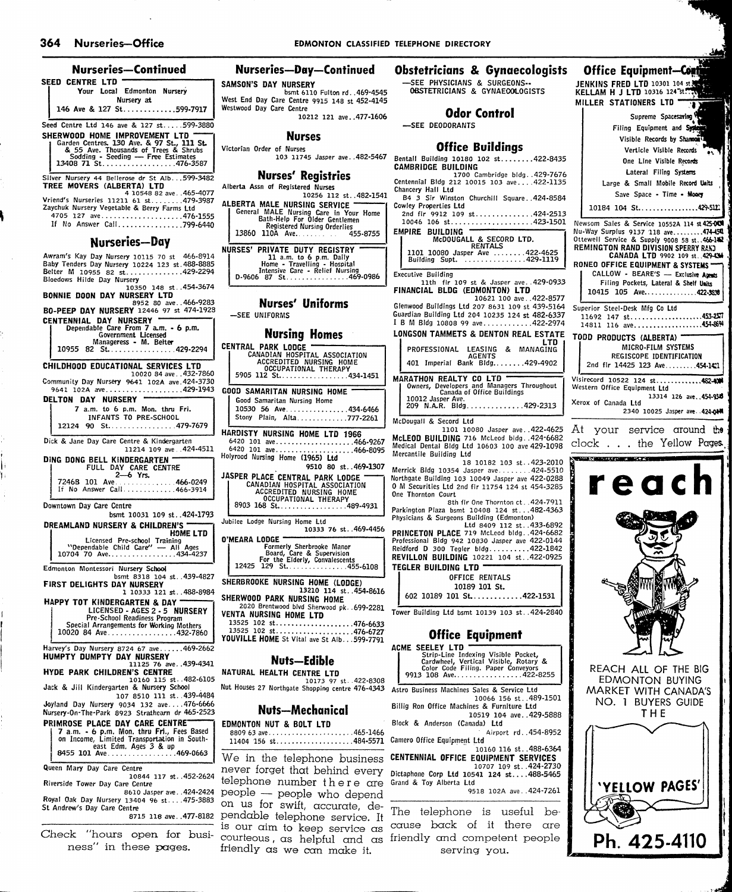| Nurseries—Continued                                                                                                                                                                                                           | Nurseries-                                              |
|-------------------------------------------------------------------------------------------------------------------------------------------------------------------------------------------------------------------------------|---------------------------------------------------------|
| SEED CENTRE LTD                                                                                                                                                                                                               | SAMSON'S DAY NU                                         |
| Your Local Edmonton Nurserv<br>Nursery at                                                                                                                                                                                     | bs<br>West End Day Care (                               |
| 146 Ave & 127 St599-7917                                                                                                                                                                                                      | Westwood Day Care (                                     |
| Seed Centre Ltd 146 ave & 127 st599-3880<br>SHERWOOD HOME IMPROVEMENT LTD<br>Garden Centres. 130 Ave. & 97 St., 111 St.<br>& 55 Ave. Thousands of Trees & Shrubs<br>Sodding - Seeding — Free Estimates<br>13408 71 St476-3587 | Victorian Order of N<br>103                             |
|                                                                                                                                                                                                                               | Nurses                                                  |
| Silver Nursery 44 Bellerose dr St Alb. 599-3482<br>TREE MOVERS (ALBERTA) LTD<br>4 10548 82 ave465-4077                                                                                                                        | Alberta Assn of Regi                                    |
| Vriend's Nurseries 11211 61 st479-3987<br>Zaychuk Nursery Vegetable & Berry Farms Ltd<br>4705 127 ave476-1555<br>If No Answer Call799-6440                                                                                    | ALBERTA MALE NI<br>General MALE M<br>Bath-Helo          |
| Nurseries—Day                                                                                                                                                                                                                 | Register<br>13860<br>110A A                             |
| Awram's Kay Day Nursery 10115 70 st 466-8914                                                                                                                                                                                  | <b>NURSES' PRIVATE</b><br>11 a.m                        |
| Baby Tenders Day Nursery 10224 123 st. 488-8885<br>Belter M 10955 82 st429-2294<br>Bloedows Hilde Day Nursery<br>10350 148 st454-3674                                                                                         | Home - 1<br>Intensive<br>D-9606 87 St.                  |
| <b>BONNIE DOON DAY NURSERY LTD</b><br>8952 80 ave466-9283                                                                                                                                                                     | <b>Nurses</b>                                           |
| BO-PEEP DAY NURSERY 12446 97 st 474-1928<br>CENTENNIAL DAY NURSERY                                                                                                                                                            | -SEE UNIFORMS                                           |
| Dependable Care From 7 a.m. - 6 p.m.<br>Government Licensed                                                                                                                                                                   | Nursi                                                   |
| Manageress - M. Belter<br>10955<br>82 St. 429-2294                                                                                                                                                                            | <b>CENTRAL PARK LO</b>                                  |
| CHILDHOOD EDUCATIONAL SERVICES LTD                                                                                                                                                                                            | CANADIAN H<br><b>ACCREDIT</b><br>OCCUPA                 |
| 10020 84 ave 432-7860<br>Community Day Nursery 9641 102A ave. 424-3730                                                                                                                                                        | 5905 112 St                                             |
| 9641 102A ave429-1943<br><b>NURSERY</b><br>DELTON DAY                                                                                                                                                                         | <b>GOOD SAMARITAN</b><br>Good Samaritan I               |
| 7 a.m. to 6 p.m. Mon. thru Fri.<br>INFANTS TO PRE-SCHOOL                                                                                                                                                                      | 10530 56 Ave.<br>Stony Plain, Al                        |
| 90 St. 479-7679<br>12124                                                                                                                                                                                                      | <b>HARDISTY NURSING</b>                                 |
| Dick & Jane Day Care Centre & Kindergarten<br>11214 109 ave424-4511                                                                                                                                                           | 6420 101 ave<br>6420 101 ave<br>Holyrood Nursing Hon    |
| DING DONG BELL KINDERGARTEN "<br>FULL DAY CARE CENTRE<br>2-6 Yrs.                                                                                                                                                             |                                                         |
| 7246B 101 Ave466-0249<br>If No Answer Call466-3914                                                                                                                                                                            | JASPER PLACE CEN<br>CANADIAN HO<br>ACCREDITE<br>OCCUPA1 |
| Downtown Day Care Centre<br>bsmt 10031 109 st424-1793                                                                                                                                                                         | 8903 168 St                                             |
| DREAMLAND NURSERY & CHILDREN'S<br>HOME LTD                                                                                                                                                                                    | Jubilee Lodge Nursing                                   |
| Licensed Pre-school Training<br>"Dependable Child Care" - All Ages<br>10704 70 Ave434-4237                                                                                                                                    | O'MEARA LODGE <sup>—</sup><br>Formerly<br>Board,        |
| Edmonton Montessori Nursery School                                                                                                                                                                                            | For the E<br>129 St.<br>12425                           |
| bsmt 8318 104 st. 439-4827<br>FIRST DELIGHTS DAY NURSERY<br>1 10333 121 st488-8984                                                                                                                                            | <b>SHERBROOKE NURS</b>                                  |
| HAPPY TOT KINDERGARTEN & DAY                                                                                                                                                                                                  | <b>SHERWOOD PARK !</b><br>2020 Brentwood                |
| LICENSED - AGES 2 - 5 NURSERY<br>Pre-School Readiness Program                                                                                                                                                                 | VENTA NURSING H<br>13525 102 st                         |
| Special Arrangements for Working Mothers<br>10020 84 Ave432-7860                                                                                                                                                              | $13525$ 102 st<br>YOUVILLE HOME St                      |
| Harvey's Day Nursery 8724 67 ave469-2662<br><b>HUMPTY DUMPTY DAY NURSERY</b>                                                                                                                                                  | Nut:                                                    |
| 11125 76 ave439-4341<br><b>HYDE PARK CHILDREN'S CENTRE</b>                                                                                                                                                                    | <b>NATURAL HEALTH</b>                                   |
| 10160 115 st. 482-6105<br>Jack & Jill Kindergarten & Nursery School<br>107 8510 111 st. 439-4484                                                                                                                              | Nut Houses 27 Northga                                   |
| Joyland Day Nursery 9034 132 ave476-6666<br>Nursery-On-The-Park 8923 Strathearn dr 465-2523                                                                                                                                   | Nuts—                                                   |
| PRIMROSE PLACE DAY CARE CENTRE                                                                                                                                                                                                | EDMONTON NUT &                                          |
| 7 a.m. - 6 p.m. Mon. thru Fri., Fees Based<br>on Income, Limited Transportation in South-<br>east Edm. Ages 3 & up                                                                                                            | 8809 63 ave<br>$11404$ 156 st                           |
| 8455 101 Ave469-0663                                                                                                                                                                                                          | We in the te                                            |
| Queen Mary Day Care Centre<br>10844 117 st452-2624                                                                                                                                                                            | never forget<br>telephone nu                            |
| Riverside Tower Day Care Centre<br>8610 Jasper ave. 424-2424<br>Royal Oak Day Nursery 13404 96 st 475-3883                                                                                                                    | people — pe                                             |

St Andrew's Day Care Centre 8715 118 ave. .477-8182 pendable telephone service. It

friendly as we can make it.

ness" In these pages.

#### Nurseries—Day—Continued Obstetricians & Gynaecologists **Office Equipment-Conti** —SEE PHYSICIANS & SURGEDNS-- OeSTETRICIANS & GYNAEODLDGISTS JENKINS FRED LTD 10301 104 st ON'S DAY NURSERY bsmt 6110 Fulton rd. .469-4545 KELLAM H J LTD 10316 124 st. Ind Day Care Centre 9915 148 st 452-4145 MILLER STATIONERS LTD Ŧ od Day Care Centre Odor Control 10212 121 ave. .477-1606 Supreme Spacesarlng —SEE DEDDDRANTS Filing Equipment and Sys Nurses Visible Records by Shannon Office Buildings an Order of Nurses Verticle Visible Records 103 11745 Jasper ave. .482-5467 Bentall Building 10180 102 st........422-8435 One Line Visible Records CAMBRIDGE BUILDING Lateral Filing Systems Nurses' Registries 1700 Cambridge bIdg. .429-7676 Centennial BIdg 212 10015 103 ave 422-1135 Large & Small Mobile Record Units a Assn of Registered Nurses Chancery Hall Ltd Save Space - Time • Moocy 10256 112 St..482-1541 B4 3 Sir Winston Churchill Square. .424-8584 **RTA MALE NURSING SERVICE** Cowley Properties Ltd  $10184$  104 St..................429-512 General MALE Nursing Care In Your Home Bath-Help For Older Gentlemen Registered Nursing Orderlies 2nd fir 9912 109 st...............424-2513  $10046$  106 st....................423-1501 Newsom Sales & Service 10552A 114 st425-OOl 13860 library orderies 455-8755 EMPIRE BUILDING Nu-Way Surplus 9137 118 ave.........474-454 McDOUGALL & SECORD LTD.<br>RENTALS<br>1101 10080 Jasper Ave .......422-4625<br>Building Supt. ..............429-1119 Ottewell Service & Supply 9008 58 st..466-142<br>REMINGTON RAND DIVISION SPERRY RAND ES' PRIVATE DUTY REGISTRY 11 a.m. to 6 p.m. Daily<br>
Home - Travelling - Hospital<br>
Intensive Care - Relief Nursing<br>
D-9606 87 St 469-0986 CANADA LTD 9902 109 st. 429-436 RONEO OFFICE EQUIPMENT & SYSTEMS — CALLOW - BEARE'S - Exclusive Agents Executive Building llth fir 109 st & Jasper ave. .429-0933 FINANCIAL BLDG (EDMONTON) LTD Filing Pockets, Lateral & Shelf Units 10415 105 Ave 422.3S38 10621 100 ave. .422-8577 Nurses' Uniforms Glenwood Buildings Ltd 207 8631 109 st 439-5164 Superior Steel-Desk Mfg Co Ltd Guardian Building Ltd 204 10235 124 st 482-6337  $11692$  147 st.....................453-257 I B M Bldg 10808 99 ave............422-2974 14811 116 ave 454-6694 Nursing Homes LONGSON TAMMETS & DENTON REAL ESTATE TDDD PRODUCTS (ALBERTA) LTD MICRO-FILM SYSTEMS CANADIAN HOSPITAL ASSOCIATION<br>
CANADIAN HOSPITAL ASSOCIATION<br>
ACCREDITED NURSING HOME<br>
COCUPATIONAL THERAPY<br>
5905 112 St................434-1451 PROFESSIONAL LEASING & MANAGING<br>AGENTS<br>401 Imperial Bank BIdg........429-4902 REGISCOPE IDENTIFICATION 2nd fir 14425 123 Ave........454-14:1 Visirecord 10522 124 st.............482-400 MARATHON REALTY CO LTD<br>
0wners, Developers and Managers Throughout<br>
10012 Jasper Ave.<br>
209 N.A.R. Bidg..............429-2313 Western Office Equipment Ltd SAMARITAN NURSING HOME 13314 126 av<del>e. 454-</del>9**56**<br>Xerox of Canada Ltd od Samaritan Nursing Home 1530 56 Ave ................434-6466 2340 10025 Jasper ave. .424.0M4 ony Plain, Alta ............777-2261 McDougall & Secord Ltd 1101 10080 Jasper ave. .422-4625 At your service around the **ISTY NURSING HOME LTD 1966** McLEOD BUILDING 716 McLeod bidg. .424-6682 101 ave....................466-9267 clock . . . the Yellow Pages-^ Medical Dental BIdg Ltd 10603 100 ave 429-1098 6420 101 ave 466-8095 Holyrocd Nursing Home (1965) Ltd Mercantile Building Ltd **WARD CONTROLLER** 18 10182 103 st..423-2010<br>Merrick BIdg 10354 Jasper ave.......424-5510 9510 80 St..469-1307 R PLACE CENTRAL PARK LODGE Northgate Building 103 10049 Jasper ave 422-0288 reach CANADIAN HOSPITAL ASSOCIATION ACCREDITED NURSING HOME 0 M Securities Ltd 2nd fir 11754 124 st 454-3285 One Thornton Court OCCUPATIONAL THERAPY 8903 168 St 489-4931 8th fir One Thornton ct. .424-7911 Parkington Plaza bsmt 10408 124 st.. .482-4363 Physicians & Surgeons Building (Edmonton) Ltd 8409 112 St. .433-6892 PRINCETON PLACE 719 McLeod bidg. .424-6682 Lodge Nursing Home Ltd 10333 76 St. .469-4456 Professional Bldg 942 10830 Jasper ave 422-0144<br>Reidford D 300 Tegler bldg..........422-1842<br>**REVILLON BUILDING** 10221 104 st..422-0925 Formerly Sherbrooke Manor<br>Board, Care & Supervision<br>For the Elderly, Convalescents<br>12425 129 St...............455-6108 TEGLER BUILDING LTD OFFICE RENTALS BROOKE NURSING HOME (LODGE) 10189 101 St. 13210 114 St..454-8616 602 10189 101 St............422-1531 VOOD PARK NURSING HOME 2020 Brentwood blvd Sherwood pk. .699-2281 VENTA NURSING HOME LTD Tower Building Ltd bsmt 10139 103 st. .424-2840  $\frac{25}{25}$  102 st  $\ldots$   $\ldots$   $\ldots$   $\ldots$   $\ldots$  476-6633  $st. . . . . . . . . . . . . . . . . . . . . . 476-6727$ Office Equipment LLE HOME St Vital ave St Alb...599-7791 ACME SEELEY LTD Strip-Line Indexing Visible Pocket, Cardwheel, Vertical Visible, Rotary & Color Code Filing. Paper Conveyors 9913 108 Ave 422-8255 Nuts—Edible REACH ALL OF THE BIG RAL HEALTH CENTRE LTD EDMONTON BUYING 10173 97 St. .422-8308 Nut Houses 27 Northgate Shopping centre 476-4343 Astro Business Machines Sales & Service Ltd MARKET WITH CANADA'S 10066 156 St. .489-1501 NO. 1 BUYERS GUIDE Billig Ron Office Machines & Furniture Ltd Nuts—Mechanical THE 10519 104 ave. .429-5888 EDMONTON NUT & BOLT LTD Block & Anderson (Canada) Ltd 8809 63 ave 465-1466 Airport rd..454-8952 Camero Office Equipment Ltd 14 156 st ... ... ... ... ... ... ... 484-5571 10160 116 St..488-6364 CENTENNIAL OFFICE EQUIPMENT SERVICES in the telephone business 10707 109 St. .424-2730 Dictaphone Corp Ltd 10541 124 st 488-5465 er forget that behind every bhone number there are Grand & Toy Alberta Ltd 'YEllOW PAGES' 9518 102A ave .. 424-7261 ple — people who depend Royal Oak Day Nursery 13404 96 st....475-3883 on 1 Feepers Who dependence Review of Day of Buildings and Day Care Centre The telephone is useful be is our aim to keep service  $\alpha s$  cause back of it there are Check ''hours open for busi courteous, as helpful and as friendly and competent people Ph. 425.4110

serving you.